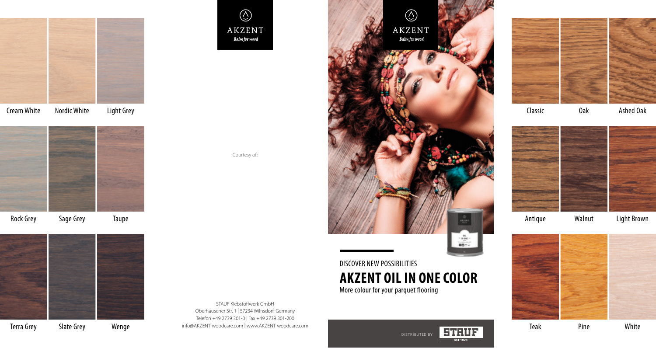

Cream White Nordic White Light Grey



Rock Grey Sage Grey Taupe



Terra Grey Slate Grey Wenge

 $\circledS$ AKZENT Balm for wood

Courtesy of:

STAUF Klebstoffwerk GmbH Oberhausener Str. 1 | 57234 Wilnsdorf, Germany Telefon +49 2739 301-0 | Fax +49 2739 301-200 info@AKZENT-woodcare.com | www.AKZENT-woodcare.com



DISCOVER NEW POSSIBILITIES **AKZENT OIL IN ONE COLOR** More colour for your parquet flooring





Classic Oak

Ashed Oak



Antique Walnut

Light Brown



Teak Pine White

DISTRIBUTED BY